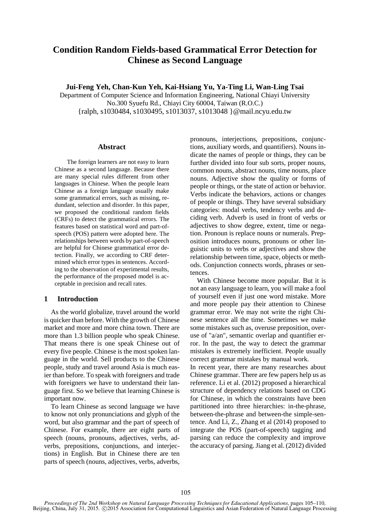# **Condition Random Fields-based Grammatical Error Detection for Chinese as Second Language**

**Jui-Feng Yeh, Chan-Kun Yeh, Kai-Hsiang Yu, Ya-Ting Li, Wan-Ling Tsai**

Department of Computer Science and Information Engineering, National Chiayi University No.300 Syuefu Rd., Chiayi City 60004, Taiwan (R.O.C.) {ralph, s1030484, s1030495, s1013037, s1013048 }@mail.ncyu.edu.tw

#### **Abstract**

The foreign learners are not easy to learn Chinese as a second language. Because there are many special rules different from other languages in Chinese. When the people learn Chinese as a foreign language usually make some grammatical errors, such as missing, redundant, selection and disorder. In this paper, we proposed the conditional random fields (CRFs) to detect the grammatical errors. The features based on statistical word and part-ofspeech (POS) pattern were adopted here. The relationships between words by part-of-speech are helpful for Chinese grammatical error detection. Finally, we according to CRF determined which error types in sentences. According to the observation of experimental results, the performance of the proposed model is acceptable in precision and recall rates.

## **1 Introduction**

As the world globalize, travel around the world is quicker than before. With the growth of Chinese market and more and more china town. There are more than 1.3 billion people who speak Chinese. That means there is one speak Chinese out of every five people. Chinese is the most spoken language in the world. Sell products to the Chinese people, study and travel around Asia is much easier than before. To speak with foreigners and trade with foreigners we have to understand their language first. So we believe that learning Chinese is important now.

To learn Chinese as second language we have to know not only pronunciations and glyph of the word, but also grammar and the part of speech of Chinese. For example, there are eight parts of speech (nouns, pronouns, adjectives, verbs, adverbs, prepositions, conjunctions, and interjections) in English. But in Chinese there are ten parts of speech (nouns, adjectives, verbs, adverbs,

pronouns, interjections, prepositions, conjunctions, auxiliary words, and quantifiers). Nouns indicate the names of people or things, they can be further divided into four sub sorts, proper nouns, common nouns, abstract nouns, time nouns, place nouns. Adjective show the quality or forms of people or things, or the state of action or behavior. Verbs indicate the behaviors, actions or changes of people or things. They have several subsidiary categories: modal verbs, tendency verbs and deciding verb. Adverb is used in front of verbs or adjectives to show degree, extent, time or negation. Pronoun is replace nouns or numerals. Preposition introduces nouns, pronouns or other linguistic units to verbs or adjectives and show the relationship between time, space, objects or methods. Conjunction connects words, phrases or sentences.

With Chinese become more popular. But it is not an easy language to learn, you will make a fool of yourself even if just one word mistake. More and more people pay their attention to Chinese grammar error. We may not write the right Chinese sentence all the time. Sometimes we make some mistakes such as, overuse preposition, overuse of "a/an", semantic overlap and quantifier error. In the past, the way to detect the grammar mistakes is extremely inefficient. People usually correct grammar mistakes by manual work.

In recent year, there are many researches about Chinese grammar. There are few papers help us as reference. Li et al. (2012) proposed a hierarchical structure of dependency relations based on CDG for Chinese, in which the constraints have been partitioned into three hierarchies: in-the-phrase, between-the-phrase and between-the simple-sentence. And Li, Z., Zhang et al (2014) proposed to integrate the POS (part-of-speech) tagging and parsing can reduce the complexity and improve the accuracy of parsing. Jiang et al. (2012) divided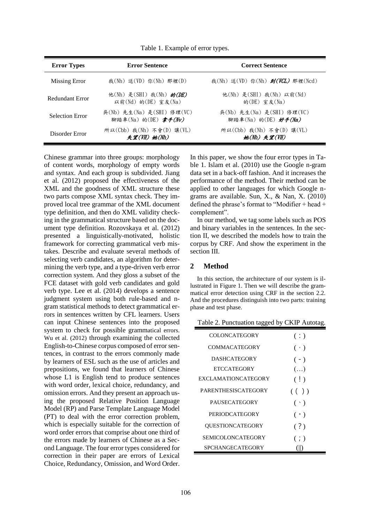| <b>Error Types</b>     | <b>Error Sentence</b>                              | <b>Correct Sentence</b>                            |
|------------------------|----------------------------------------------------|----------------------------------------------------|
| Missing Error          | 我(Nh) 送(VD) 你(Nh) 那裡(D)                            | 我(Nh) 送(VD) 你(Nh) <b>到(VCL)</b> 那裡(Ncd)            |
| Redundant Error        | 他(Nh) 是(SHI) 我(Nh) 的(DE)<br>以前(Nd) 的(DE) 室友(Na)    | 他(Nh) 是(SHI) 我(Nh) 以前(Nd)<br>的 $(DE)$ 室友 $(Na)$    |
| <b>Selection Error</b> | 吳(Nb) 先生(Na) 是(SHI) 修理(VC)<br>腳踏車(Na) 的(DE) 拿手(Nv) | 吳(Nb) 先生(Na) 是(SHI) 修理(VC)<br>腳踏車(Na) 的(DE) 好手(Na) |
| Disorder Error         | 所以(Cbb) 我(Nh) 不會(D) 讓(VL)<br>失望(VH) 她(Nh)          | 所以(Cbb) 我(Nh) 不會(D) 讓(VL)<br>她(Nh) 失望(VH)          |

Table 1. Example of error types.

Chinese grammar into three groups: morphology of content words, morphology of empty words and syntax. And each group is subdivided. Jiang et al. (2012) proposed the effectiveness of the XML and the goodness of XML structure these two parts compose XML syntax check. They improved local tree grammar of the XML document type definition, and then do XML validity checking in the grammatical structure based on the document type definition. Rozovskaya et al. (2012) presented a linguistically-motivated, holistic framework for correcting grammatical verb mistakes. Describe and evaluate several methods of selecting verb candidates, an algorithm for determining the verb type, and a type-driven verb error correction system. And they gloss a subset of the FCE dataset with gold verb candidates and gold verb type. Lee et al. (2014) develops a sentence judgment system using both rule-based and ngram statistical methods to detect grammatical errors in sentences written by CFL learners. Users can input Chinese sentences into the proposed system to check for possible grammatical errors. Wu et al. (2012) through examining the collected English-to-Chinese corpus composed of error sentences, in contrast to the errors commonly made by learners of ESL such as the use of articles and prepositions, we found that learners of Chinese whose L1 is English tend to produce sentences with word order, lexical choice, redundancy, and omission errors. And they present an approach using the proposed Relative Position Language Model (RP) and Parse Template Language Model (PT) to deal with the error correction problem, which is especially suitable for the correction of word order errors that comprise about one third of the errors made by learners of Chinese as a Second Language. The four error types considered for correction in their paper are errors of Lexical Choice, Redundancy, Omission, and Word Order.

In this paper, we show the four error types in Table 1. Islam et al. (2010) use the Google n-gram data set in a back-off fashion. And it increases the performance of the method. Their method can be applied to other languages for which Google ngrams are available. Sun, X., & Nan, X. (2010) defined the phrase's format to "Modifier + head + complement".

In our method, we tag some labels such as POS and binary variables in the sentences. In the section II, we described the models how to train the corpus by CRF. And show the experiment in the section III.

## **2 Method**

In this section, the architecture of our system is illustrated in Figure 1. Then we will describe the grammatical error detection using CRF in the section 2.2. And the procedures distinguish into two parts: training phase and test phase.

| Table 2. Punctuation tagged by CKIP Autotag. |             |
|----------------------------------------------|-------------|
| <b>COLONCATEGORY</b>                         | (:)         |
| COMMACATEGORY                                | $( \cdot )$ |
| <b>DASHCATEGORY</b>                          | $(-)$       |
| <b>ETCCATEGORY</b>                           | $(\ldots)$  |
| EXCLAMATIONCATEGORY                          | (!)         |
| <b>PARENTHESISCATEGORY</b>                   | $($ ( ) )   |
| <b>PAUSECATEGORY</b>                         | $(\cdot)$   |
| <b>PERIODCATEGORY</b>                        | $( \circ )$ |
| QUESTIONCATEGORY                             | (?)         |
| <b>SEMICOLONCATEGORY</b>                     | ( ; )       |
| <b>SPCHANGECATEGORY</b>                      |             |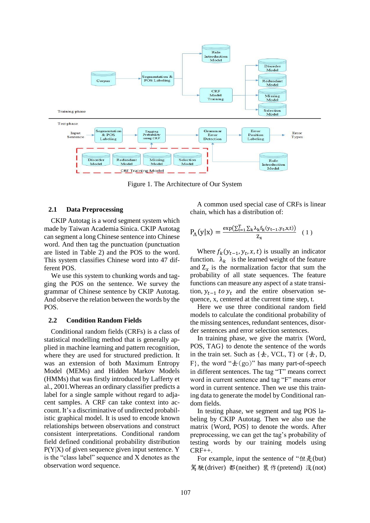

Figure 1. The Architecture of Our System

#### **2.1 Data Preprocessing**

CKIP Autotag is a word segment system which made by Taiwan Academia Sinica. CKIP Autotag can segment a long Chinese sentence into Chinese word. And then tag the punctuation (punctuation are listed in Table 2) and the POS to the word. This system classifies Chinese word into 47 different POS.

We use this system to chunking words and tagging the POS on the sentence. We survey the grammar of Chinese sentence by CKIP Autotag. And observe the relation between the words by the POS.

#### **2.2 Condition Random Fields**

Conditional random fields (CRFs) is a class of statistical modelling method that is generally applied in machine learning and pattern recognition, where they are used for structured prediction. It was an extension of both Maximum Entropy Model (MEMs) and Hidden Markov Models (HMMs) that was firstly introduced by Lafferty et al., 2001.Whereas an ordinary classifier predicts a label for a single sample without regard to adjacent samples. A CRF can take context into account. It's a discriminative of undirected probabilistic graphical model. It is used to encode known relationships between observations and construct consistent interpretations. Conditional random field defined conditional probability distribution P(Y|X) of given sequence given input sentence. Y is the "class label" sequence and X denotes as the observation word sequence.

A common used special case of CRFs is linear chain, which has a distribution of:

$$
P_{\Lambda}(y|x) = \frac{\exp(\sum_{t=1}^{T} \sum_{k} \lambda_{k} f_{k}(y_{t-1}, y_{t}, x, t))}{z_{x}} (1)
$$

Where  $f_k(y_{t-1}, y_t, x, t)$  is usually an indicator function.  $\lambda_k$  is the learned weight of the feature and  $Z_x$  is the normalization factor that sum the probability of all state sequences. The feature functions can measure any aspect of a state transition,  $y_{t-1}$  to  $y_t$  and the entire observation sequence, x, centered at the current time step, t.

Here we use three conditional random field models to calculate the conditional probability of the missing sentences, redundant sentences, disorder sentences and error selection sentences.

In training phase, we give the matrix {Word, POS, TAG} to denote the sentence of the words in the train set. Such as  $\{\pm, \text{ VCL}, \text{T}\}\$  or  $\{\pm, \text{ D}, \text{ }$ F, the word " $\pm$ (go)" has many part-of-speech in different sentences. The tag "T" means correct word in current sentence and tag "F" means error word in current sentence. Then we use this training data to generate the model by Conditional random fields.

In testing phase, we segment and tag POS labeling by CKIP Autotag. Then we also use the matrix {Word, POS} to denote the words. After preprocessing, we can get the tag's probability of testing words by our training models using CRF++.

For example, input the sentence of "但是(but) 駕駛(driver) 都(neither) 裝作(pretend) 沒(not)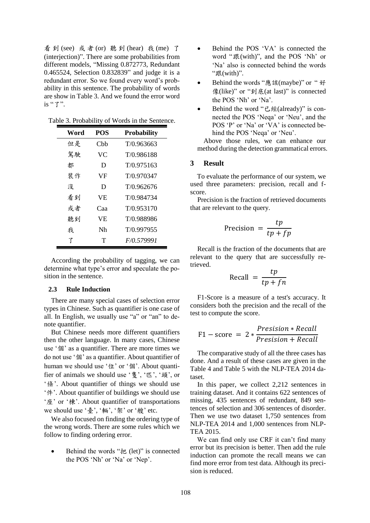看 到 (see) 或 者 (or) 聽 到 (hear) 我 (me) 了 (interjection)". There are some probabilities from different models, "Missing 0.872773, Redundant 0.465524, Selection 0.832839" and judge it is a redundant error. So we found every word's probability in this sentence. The probability of words are show in Table 3. And we found the error word is "了".

Table 3. Probability of Words in the Sentence.

| Word | <b>POS</b> | <b>Probability</b> |
|------|------------|--------------------|
| 但是   | Cbb        | T/0.963663         |
| 駕駛   | VC         | T/0.986188         |
| 都    | D          | T/0.975163         |
| 裝作   | VF         | T/0.970347         |
| 沒    | D          | T/0.962676         |
| 看到   | VE.        | T/0.984734         |
| 或者   | Саа        | T/0.953170         |
| 聽到   | VE         | T/0.988986         |
| 我    | Nh         | T/0.997955         |
| 了    | Т          | F/0.579991         |

According the probability of tagging, we can determine what type's error and speculate the position in the sentence.

## **2.3 Rule Induction**

There are many special cases of selection error types in Chinese. Such as quantifier is one case of all. In English, we usually use "a" or "an" to denote quantifier.

But Chinese needs more different quantifiers then the other language. In many cases, Chinese use '個' as a quantifier. There are more times we do not use '個' as a quantifier. About quantifier of human we should use '位' or '個'. About quantifier of animals we should use '隻', '匹', '頭', or '條'. About quantifier of things we should use '件'. About quantifier of buildings we should use '座' or '棟'. About quantifier of transportations we should use '臺', '輛', '架' or '艘' etc.

We also focused on finding the ordering type of the wrong words. There are some rules which we follow to finding ordering error.

● Behind the words "把 (let)" is connected the POS 'Nh' or 'Na' or 'Nep'.

- Behind the POS 'VA' is connected the word "跟(with)", and the POS 'Nh' or 'Na' also is connected behind the words "跟(with)".
- Behind the words "應該(maybe)" or " 好 像(like)" or "到底(at last)" is connected the POS 'Nh' or 'Na'.
- Behind the word "已經(already)" is connected the POS 'Neqa' or 'Neu', and the POS 'P' or 'Na' or 'VA' is connected behind the POS 'Neqa' or 'Neu'.

Above those rules, we can enhance our method during the detection grammatical errors.

# **3 Result**

To evaluate the performance of our system, we used three parameters: precision, recall and fscore.

Precision is the fraction of retrieved documents that are relevant to the query.

$$
Precision = \frac{tp}{tp + fp}
$$

Recall is the fraction of the documents that are relevant to the query that are successfully retrieved.

$$
\text{Recall} = \frac{tp}{tp + fn}
$$

F1-Score is a measure of a test's accuracy. It considers both the precision and the recall of the test to compute the score.

$$
F1 - score = 2 * \frac{Precision * Recall}{Precision + Recall}
$$

The comparative study of all the three cases has done. And a result of these cases are given in the Table 4 and Table 5 with the NLP-TEA 2014 dataset.

In this paper, we collect 2,212 sentences in training dataset. And it contains 622 sentences of missing, 435 sentences of redundant, 849 sentences of selection and 306 sentences of disorder. Then we use two dataset 1,750 sentences from NLP-TEA 2014 and 1,000 sentences from NLP-TEA 2015.

We can find only use CRF it can't find many error but its precision is better. Then add the rule induction can promote the recall means we can find more error from test data. Although its precision is reduced.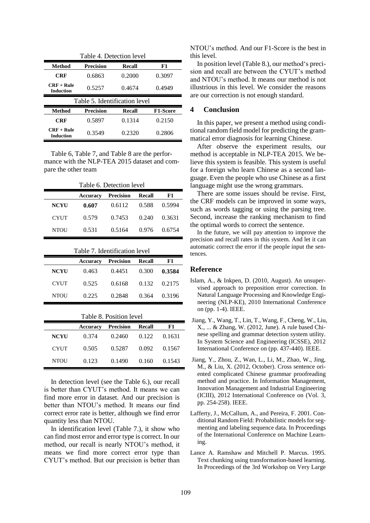| Table 4. Detection level         |                  |        |                 |  |
|----------------------------------|------------------|--------|-----------------|--|
| Method                           | Precision        | Recall | F1              |  |
| <b>CRF</b>                       | 0.6863           | 0.2000 | 0.3097          |  |
| $CRF + Rule$<br><b>Induction</b> | 0.5257           | 0.4674 | 0.4949          |  |
| Table 5. Identification level    |                  |        |                 |  |
|                                  |                  |        |                 |  |
| Method                           | <b>Precision</b> | Recall | <b>F1-Score</b> |  |
| CRF                              | 0.5897           | 0.1314 | 0.2150          |  |

Table 6, Table 7, and Table 8 are the performance with the NLP-TEA 2015 dataset and compare the other team

| Table 6. Detection level |          |           |        |        |
|--------------------------|----------|-----------|--------|--------|
|                          | Accuracy | Precision | Recall | F1     |
| <b>NCYU</b>              | 0.607    | 0.6112    | 0.588  | 0.5994 |
| <b>CYUT</b>              | 0.579    | 0.7453    | 0.240  | 0.3631 |
| <b>NTOU</b>              | 0.531    | 0.5164    | 0.976  | 0.6754 |

| Table 7. Identification level |          |                  |               |        |
|-------------------------------|----------|------------------|---------------|--------|
|                               | Accuracy | <b>Precision</b> | <b>Recall</b> | F1     |
| <b>NCYU</b>                   | 0.463    | 0.4451           | 0.300         | 0.3584 |
| <b>CYUT</b>                   | 0.525    | 0.6168           | 0.132         | 0.2175 |
| <b>NTOU</b>                   | 0.225    | 0.2848           | 0.364         | 0.3196 |

| Table 8. Position level |          |                  |               |        |
|-------------------------|----------|------------------|---------------|--------|
|                         | Accuracy | <b>Precision</b> | <b>Recall</b> | F1     |
| <b>NCYU</b>             | 0.374    | 0.2460           | 0.122         | 0.1631 |
| <b>CYUT</b>             | 0.505    | 0.5287           | 0.092         | 0.1567 |
| <b>NTOU</b>             | 0.123    | 0.1490           | 0.160         | 0.1543 |

In detection level (see the Table 6.), our recall is better than CYUT's method. It means we can find more error in dataset. And our precision is better than NTOU's method. It means our find correct error rate is better, although we find error quantity less than NTOU.

In identification level (Table 7.), it show who can find most error and error type is correct. In our method, our recall is nearly NTOU's method, it means we find more correct error type than CYUT's method. But our precision is better than NTOU's method. And our F1-Score is the best in this level.

In position level (Table 8.), our method's precision and recall are between the CYUT's method and NTOU's method. It means our method is not illustrious in this level. We consider the reasons are our correction is not enough standard.

# **4 Conclusion**

In this paper, we present a method using conditional random field model for predicting the grammatical error diagnosis for learning Chinese.

After observe the experiment results, our method is acceptable in NLP-TEA 2015. We believe this system is feasible. This system is useful for a foreign who learn Chinese as a second language. Even the people who use Chinese as a first language might use the wrong grammars.

There are some issues should be revise. First, the CRF models can be improved in some ways, such as words tagging or using the parsing tree. Second, increase the ranking mechanism to find the optimal words to correct the sentence.

In the future, we will pay attention to improve the precision and recall rates in this system. And let it can automatic correct the error if the people input the sentences.

# **Reference**

- Islam, A., & Inkpen, D. (2010, August). An unsupervised approach to preposition error correction. In Natural Language Processing and Knowledge Engineering (NLP-KE), 2010 International Conference on (pp. 1-4). IEEE.
- Jiang, Y., Wang, T., Lin, T., Wang, F., Cheng, W., Liu, X., ... & Zhang, W. (2012, June). A rule based Chinese spelling and grammar detection system utility. In System Science and Engineering (ICSSE), 2012 International Conference on (pp. 437-440). IEEE.
- Jiang, Y., Zhou, Z., Wan, L., Li, M., Zhao, W., Jing, M., & Liu, X. (2012, October). Cross sentence oriented complicated Chinese grammar proofreading method and practice. In Information Management, Innovation Management and Industrial Engineering (ICIII), 2012 International Conference on (Vol. 3, pp. 254-258). IEEE.
- Lafferty, J., McCallum, A., and Pereira, F. 2001. Conditional Random Field: Probabilistic models for segmenting and labeling sequence data. In Proceedings of the International Conference on Machine Learning.
- Lance A. Ramshaw and Mitchell P. Marcus. 1995. Text chunking using transformation-based learning. In Proceedings of the 3rd Workshop on Very Large